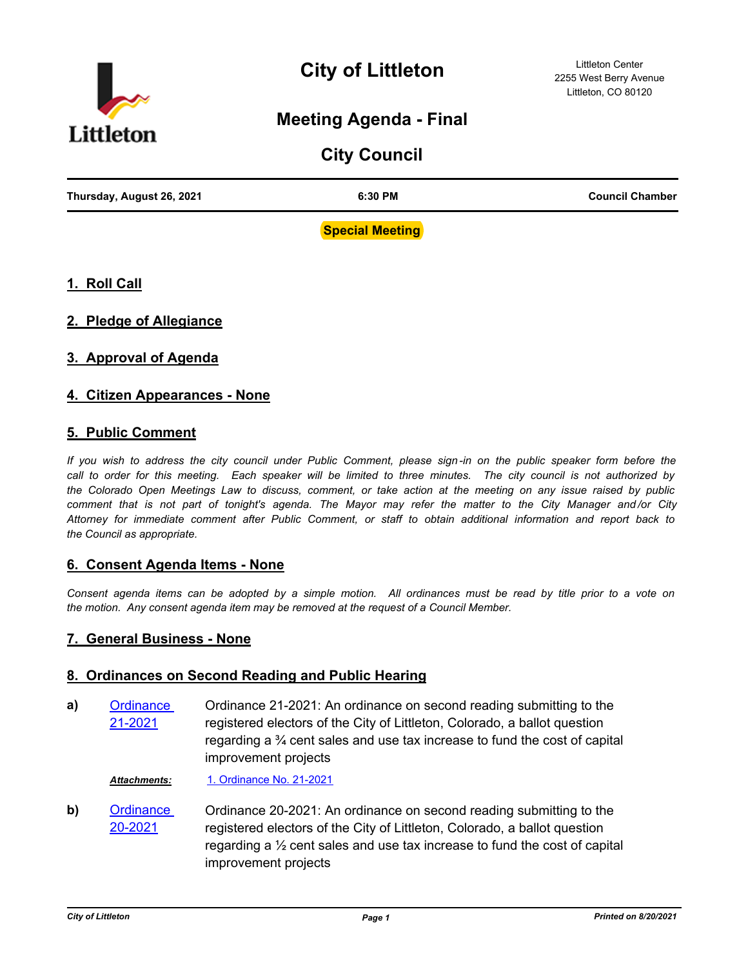

## **City of Littleton**

### **Meeting Agenda - Final**

# **City Council Thursday, August 26, 2021 6:30 PM Council Chamber**

**Special Meeting**

#### **1. Roll Call**

#### **2. Pledge of Allegiance**

#### **3. Approval of Agenda**

#### **4. Citizen Appearances - None**

#### **5. Public Comment**

*If you wish to address the city council under Public Comment, please sign-in on the public speaker form before the*  call to order for this meeting. Each speaker will be limited to three minutes. The city council is not authorized by *the Colorado Open Meetings Law to discuss, comment, or take action at the meeting on any issue raised by public comment that is not part of tonight's agenda. The Mayor may refer the matter to the City Manager and /or City Attorney for immediate comment after Public Comment, or staff to obtain additional information and report back to the Council as appropriate.*

#### **6. Consent Agenda Items - None**

*Consent agenda items can be adopted by a simple motion. All ordinances must be read by title prior to a vote on the motion. Any consent agenda item may be removed at the request of a Council Member.*

#### **7. General Business - None**

#### **8. Ordinances on Second Reading and Public Hearing**

Ordinance 21-2021: An ordinance on second reading submitting to the registered electors of the City of Littleton, Colorado, a ballot question regarding a ¾ cent sales and use tax increase to fund the cost of capital improvement projects **a)** [Ordinance](http://littletongov.legistar.com/gateway.aspx?m=l&id=/matter.aspx?key=5091)  21-2021

*Attachments:* [1. Ordinance No. 21-2021](http://littletongov.legistar.com/gateway.aspx?M=F&ID=a8411bde-6548-4d96-ada3-b799203a02a9.pdf)

Ordinance 20-2021: An ordinance on second reading submitting to the registered electors of the City of Littleton, Colorado, a ballot question regarding a ½ cent sales and use tax increase to fund the cost of capital improvement projects **b)** [Ordinance](http://littletongov.legistar.com/gateway.aspx?m=l&id=/matter.aspx?key=5090)  20-2021